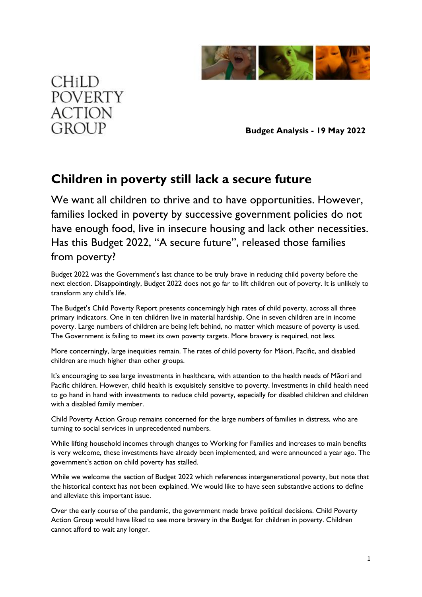

# CH<sub>i</sub>LD **POVERTY ACTION GROUP**

**Budget Analysis - 19 May 2022**

## **Children in poverty still lack a secure future**

We want all children to thrive and to have opportunities. However, families locked in poverty by successive government policies do not have enough food, live in insecure housing and lack other necessities. Has this Budget 2022, "A secure future", released those families from poverty?

Budget 2022 was the Government's last chance to be truly brave in reducing child poverty before the next election. Disappointingly, Budget 2022 does not go far to lift children out of poverty. It is unlikely to transform any child's life.

The Budget's Child Poverty Report presents concerningly high rates of child poverty, across all three primary indicators. One in ten children live in material hardship. One in seven children are in income poverty. Large numbers of children are being left behind, no matter which measure of poverty is used. The Government is failing to meet its own poverty targets. More bravery is required, not less.

More concerningly, large inequities remain. The rates of child poverty for Māori, Pacific, and disabled children are much higher than other groups.

It's encouraging to see large investments in healthcare, with attention to the health needs of Māori and Pacific children. However, child health is exquisitely sensitive to poverty. Investments in child health need to go hand in hand with investments to reduce child poverty, especially for disabled children and children with a disabled family member.

Child Poverty Action Group remains concerned for the large numbers of families in distress, who are turning to social services in unprecedented numbers.

While lifting household incomes through changes to Working for Families and increases to main benefits is very welcome, these investments have already been implemented, and were announced a year ago. The government's action on child poverty has stalled.

While we welcome the section of Budget 2022 which references intergenerational poverty, but note that the historical context has not been explained. We would like to have seen substantive actions to define and alleviate this important issue.

Over the early course of the pandemic, the government made brave political decisions. Child Poverty Action Group would have liked to see more bravery in the Budget for children in poverty. Children cannot afford to wait any longer.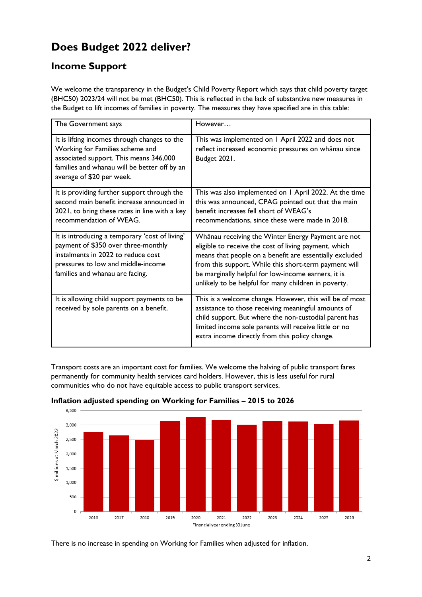# **Does Budget 2022 deliver?**

## **Income Support**

We welcome the transparency in the Budget's Child Poverty Report which says that child poverty target (BHC50) 2023/24 will not be met (BHC50). This is reflected in the lack of substantive new measures in the Budget to lift incomes of families in poverty. The measures they have specified are in this table:

| The Government says                                                                                                                                                                                    | However                                                                                                                                                                                                                                                                                                                                        |
|--------------------------------------------------------------------------------------------------------------------------------------------------------------------------------------------------------|------------------------------------------------------------------------------------------------------------------------------------------------------------------------------------------------------------------------------------------------------------------------------------------------------------------------------------------------|
| It is lifting incomes through changes to the<br>Working for Families scheme and<br>associated support. This means 346,000<br>families and whanau will be better off by an<br>average of \$20 per week. | This was implemented on 1 April 2022 and does not<br>reflect increased economic pressures on whānau since<br>Budget 2021.                                                                                                                                                                                                                      |
| It is providing further support through the<br>second main benefit increase announced in<br>2021, to bring these rates in line with a key<br>recommendation of WEAG.                                   | This was also implemented on 1 April 2022. At the time<br>this was announced, CPAG pointed out that the main<br>benefit increases fell short of WEAG's<br>recommendations, since these were made in 2018.                                                                                                                                      |
| It is introducing a temporary 'cost of living'<br>payment of \$350 over three-monthly<br>instalments in 2022 to reduce cost<br>pressures to low and middle-income<br>families and whanau are facing.   | Whānau receiving the Winter Energy Payment are not<br>eligible to receive the cost of living payment, which<br>means that people on a benefit are essentially excluded<br>from this support. While this short-term payment will<br>be marginally helpful for low-income earners, it is<br>unlikely to be helpful for many children in poverty. |
| It is allowing child support payments to be<br>received by sole parents on a benefit.                                                                                                                  | This is a welcome change. However, this will be of most<br>assistance to those receiving meaningful amounts of<br>child support. But where the non-custodial parent has<br>limited income sole parents will receive little or no<br>extra income directly from this policy change.                                                             |

Transport costs are an important cost for families. We welcome the halving of public transport fares permanently for community health services card holders. However, this is less useful for rural communities who do not have equitable access to public transport services.



### **Inflation adjusted spending on Working for Families – 2015 to 2026**

There is no increase in spending on Working for Families when adjusted for inflation.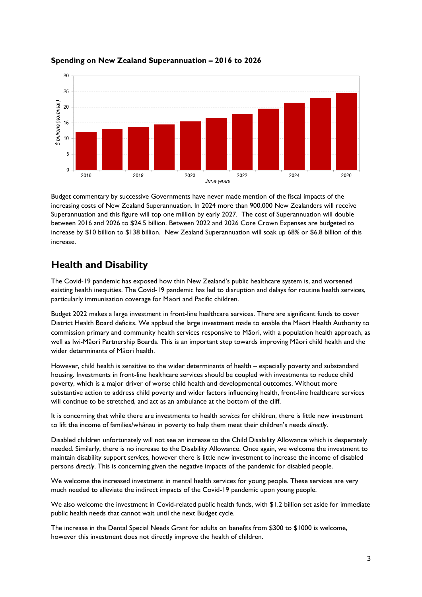

#### **Spending on New Zealand Superannuation – 2016 to 2026**

Budget commentary by successive Governments have never made mention of the fiscal impacts of the increasing costs of New Zealand Superannuation. In 2024 more than 900,000 New Zealanders will receive Superannuation and this figure will top one million by early 2027. The cost of Superannuation will double between 2016 and 2026 to \$24.5 billion. Between 2022 and 2026 Core Crown Expenses are budgeted to increase by \$10 billion to \$138 billion. New Zealand Superannuation will soak up 68% or \$6.8 billion of this increase.

### **Health and Disability**

The Covid-19 pandemic has exposed how thin New Zealand's public healthcare system is, and worsened existing health inequities. The Covid-19 pandemic has led to disruption and delays for routine health services, particularly immunisation coverage for Māori and Pacific children.

Budget 2022 makes a large investment in front-line healthcare services. There are significant funds to cover District Health Board deficits. We applaud the large investment made to enable the Māori Health Authority to commission primary and community health services responsive to Māori, with a population health approach, as well as Iwi-Māori Partnership Boards. This is an important step towards improving Māori child health and the wider determinants of Māori health.

However, child health is sensitive to the wider determinants of health – especially poverty and substandard housing. Investments in front-line healthcare services should be coupled with investments to reduce child poverty, which is a major driver of worse child health and developmental outcomes. Without more substantive action to address child poverty and wider factors influencing health, front-line healthcare services will continue to be stretched, and act as an ambulance at the bottom of the cliff.

It is concerning that while there are investments to health *services* for children, there is little new investment to lift the income of families/whānau in poverty to help them meet their children's needs *directly*.

Disabled children unfortunately will not see an increase to the Child Disability Allowance which is desperately needed. Similarly, there is no increase to the Disability Allowance. Once again, we welcome the investment to maintain disability support *services*, however there is little new investment to increase the income of disabled persons *directly*. This is concerning given the negative impacts of the pandemic for disabled people.

We welcome the increased investment in mental health services for young people. These services are very much needed to alleviate the indirect impacts of the Covid-19 pandemic upon young people.

We also welcome the investment in Covid-related public health funds, with \$1.2 billion set aside for immediate public health needs that cannot wait until the next Budget cycle.

The increase in the Dental Special Needs Grant for adults on benefits from \$300 to \$1000 is welcome, however this investment does not directly improve the health of children.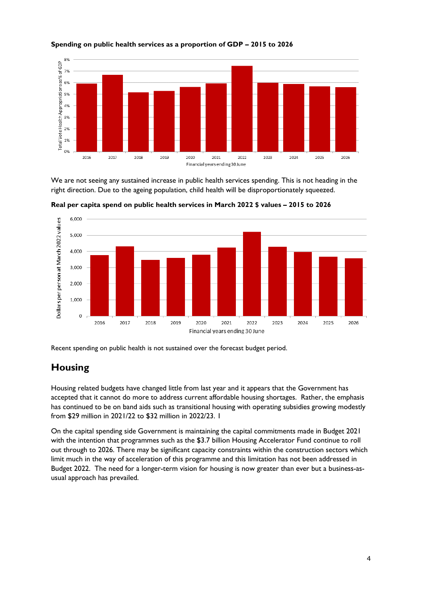

#### **Spending on public health services as a proportion of GDP – 2015 to 2026**

We are not seeing any sustained increase in public health services spending. This is not heading in the right direction. Due to the ageing population, child health will be disproportionately squeezed.



**Real per capita spend on public health services in March 2022 \$ values – 2015 to 2026**

Recent spending on public health is not sustained over the forecast budget period.

## **Housing**

Housing related budgets have changed little from last year and it appears that the Government has accepted that it cannot do more to address current affordable housing shortages. Rather, the emphasis has continued to be on band aids such as transitional housing with operating subsidies growing modestly from \$29 million in 2021/22 to \$32 million in 2022/23. 1

On the capital spending side Government is maintaining the capital commitments made in Budget 2021 with the intention that programmes such as the \$3.7 billion Housing Accelerator Fund continue to roll out through to 2026. There may be significant capacity constraints within the construction sectors which limit much in the way of acceleration of this programme and this limitation has not been addressed in Budget 2022. The need for a longer-term vision for housing is now greater than ever but a business-asusual approach has prevailed.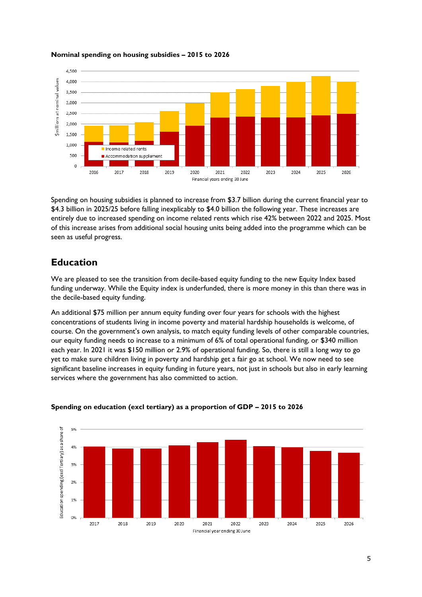

#### **Nominal spending on housing subsidies – 2015 to 2026**

Spending on housing subsidies is planned to increase from \$3.7 billion during the current financial year to \$4.3 billion in 2025/25 before falling inexplicably to \$4.0 billion the following year. These increases are entirely due to increased spending on income related rents which rise 42% between 2022 and 2025. Most of this increase arises from additional social housing units being added into the programme which can be seen as useful progress.

### **Education**

We are pleased to see the transition from decile-based equity funding to the new Equity Index based funding underway. While the Equity index is underfunded, there is more money in this than there was in the decile-based equity funding.

An additional \$75 million per annum equity funding over four years for schools with the highest concentrations of students living in income poverty and material hardship households is welcome, of course. On the government's own analysis, to match equity funding levels of other comparable countries, our equity funding needs to increase to a minimum of 6% of total operational funding, or \$340 million each year. In 2021 it was \$150 million or 2.9% of operational funding. So, there is still a long way to go yet to make sure children living in poverty and hardship get a fair go at school. We now need to see significant baseline increases in equity funding in future years, not just in schools but also in early learning services where the government has also committed to action.



#### **Spending on education (excl tertiary) as a proportion of GDP – 2015 to 2026**